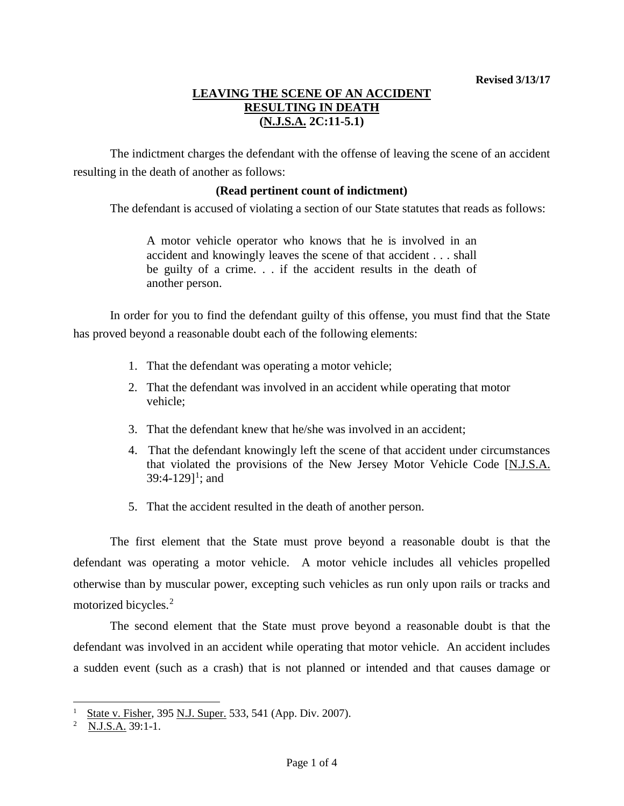# **LEAVING THE SCENE OF AN ACCIDENT RESULTING IN DEATH (N.J.S.A. 2C:11-5.1)**

The indictment charges the defendant with the offense of leaving the scene of an accident resulting in the death of another as follows:

## **(Read pertinent count of indictment)**

The defendant is accused of violating a section of our State statutes that reads as follows:

A motor vehicle operator who knows that he is involved in an accident and knowingly leaves the scene of that accident . . . shall be guilty of a crime. . . if the accident results in the death of another person.

In order for you to find the defendant guilty of this offense, you must find that the State has proved beyond a reasonable doubt each of the following elements:

- 1. That the defendant was operating a motor vehicle;
- 2. That the defendant was involved in an accident while operating that motor vehicle;
- 3. That the defendant knew that he/she was involved in an accident;
- 4. That the defendant knowingly left the scene of that accident under circumstances that violated the provisions of the New Jersey Motor Vehicle Code [N.J.S.A. 39:4-[1](#page-0-0)29]<sup>1</sup>; and
- 5. That the accident resulted in the death of another person.

The first element that the State must prove beyond a reasonable doubt is that the defendant was operating a motor vehicle. A motor vehicle includes all vehicles propelled otherwise than by muscular power, excepting such vehicles as run only upon rails or tracks and motorized bicycles.<sup>[2](#page-0-1)</sup>

The second element that the State must prove beyond a reasonable doubt is that the defendant was involved in an accident while operating that motor vehicle. An accident includes a sudden event (such as a crash) that is not planned or intended and that causes damage or

<span id="page-0-0"></span>State v. Fisher, 395 N.J. Super. 533, 541 (App. Div. 2007).

<span id="page-0-1"></span><sup>&</sup>lt;sup>2</sup> <u>N.J.S.A.</u> 39:1-1.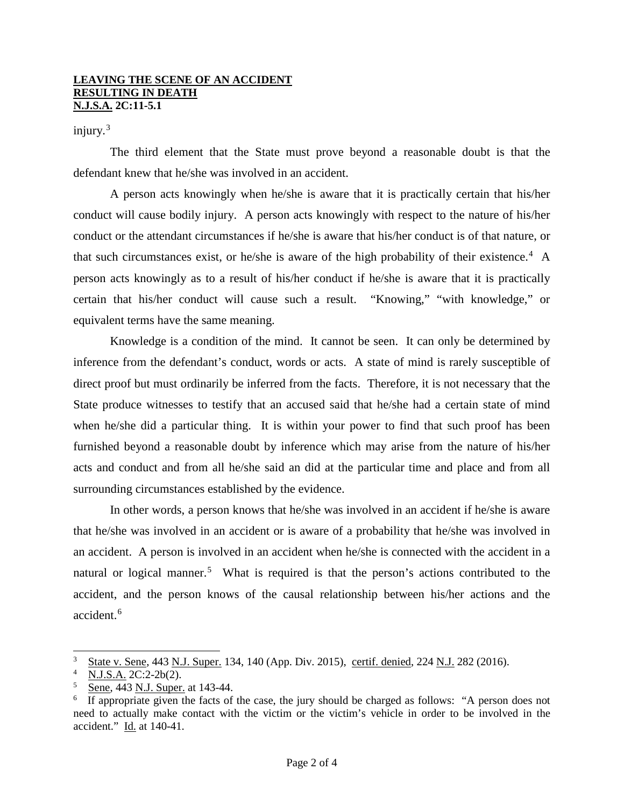#### **LEAVING THE SCENE OF AN ACCIDENT RESULTING IN DEATH N.J.S.A. 2C:11-5.1**

## injury. $3$

The third element that the State must prove beyond a reasonable doubt is that the defendant knew that he/she was involved in an accident.

A person acts knowingly when he/she is aware that it is practically certain that his/her conduct will cause bodily injury. A person acts knowingly with respect to the nature of his/her conduct or the attendant circumstances if he/she is aware that his/her conduct is of that nature, or that such circumstances exist, or he/she is aware of the high probability of their existence.<sup>[4](#page-1-1)</sup> A person acts knowingly as to a result of his/her conduct if he/she is aware that it is practically certain that his/her conduct will cause such a result. "Knowing," "with knowledge," or equivalent terms have the same meaning.

Knowledge is a condition of the mind. It cannot be seen. It can only be determined by inference from the defendant's conduct, words or acts. A state of mind is rarely susceptible of direct proof but must ordinarily be inferred from the facts. Therefore, it is not necessary that the State produce witnesses to testify that an accused said that he/she had a certain state of mind when he/she did a particular thing. It is within your power to find that such proof has been furnished beyond a reasonable doubt by inference which may arise from the nature of his/her acts and conduct and from all he/she said an did at the particular time and place and from all surrounding circumstances established by the evidence.

In other words, a person knows that he/she was involved in an accident if he/she is aware that he/she was involved in an accident or is aware of a probability that he/she was involved in an accident. A person is involved in an accident when he/she is connected with the accident in a natural or logical manner.<sup>[5](#page-1-2)</sup> What is required is that the person's actions contributed to the accident, and the person knows of the causal relationship between his/her actions and the accident.<sup>[6](#page-1-3)</sup>

<span id="page-1-0"></span> <sup>3</sup>  $\frac{3}{4}$  State v. Sene, 443 N.J. Super. 134, 140 (App. Div. 2015), certif. denied, 224 N.J. 282 (2016).

<span id="page-1-1"></span>N.J.S.A. 2C:2-2b(2).

<span id="page-1-2"></span><sup>5</sup> Sene, 443 N.J. Super. at 143-44.

<span id="page-1-3"></span><sup>6</sup> If appropriate given the facts of the case, the jury should be charged as follows: "A person does not need to actually make contact with the victim or the victim's vehicle in order to be involved in the accident." Id. at 140-41.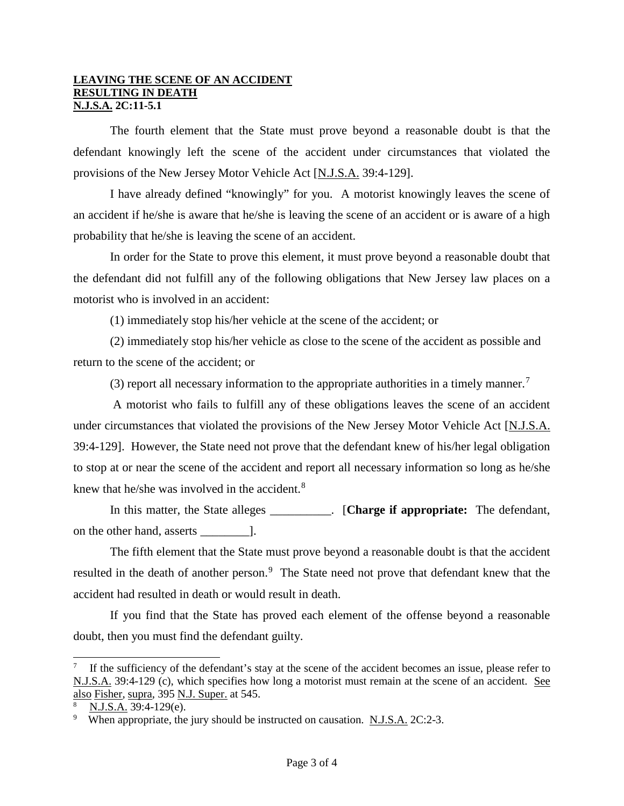#### **LEAVING THE SCENE OF AN ACCIDENT RESULTING IN DEATH N.J.S.A. 2C:11-5.1**

The fourth element that the State must prove beyond a reasonable doubt is that the defendant knowingly left the scene of the accident under circumstances that violated the provisions of the New Jersey Motor Vehicle Act [N.J.S.A. 39:4-129].

I have already defined "knowingly" for you. A motorist knowingly leaves the scene of an accident if he/she is aware that he/she is leaving the scene of an accident or is aware of a high probability that he/she is leaving the scene of an accident.

In order for the State to prove this element, it must prove beyond a reasonable doubt that the defendant did not fulfill any of the following obligations that New Jersey law places on a motorist who is involved in an accident:

(1) immediately stop his/her vehicle at the scene of the accident; or

(2) immediately stop his/her vehicle as close to the scene of the accident as possible and return to the scene of the accident; or

(3) report all necessary information to the appropriate authorities in a timely manner.<sup>[7](#page-2-0)</sup>

A motorist who fails to fulfill any of these obligations leaves the scene of an accident under circumstances that violated the provisions of the New Jersey Motor Vehicle Act [N.J.S.A. 39:4-129]. However, the State need not prove that the defendant knew of his/her legal obligation to stop at or near the scene of the accident and report all necessary information so long as he/she knew that he/she was involved in the accident.<sup>[8](#page-2-1)</sup>

In this matter, the State alleges \_\_\_\_\_\_\_\_\_\_. [**Charge if appropriate:** The defendant, on the other hand, asserts \_\_\_\_\_\_\_\_].

The fifth element that the State must prove beyond a reasonable doubt is that the accident resulted in the death of another person.<sup>[9](#page-2-2)</sup> The State need not prove that defendant knew that the accident had resulted in death or would result in death.

If you find that the State has proved each element of the offense beyond a reasonable doubt, then you must find the defendant guilty.

<span id="page-2-0"></span><sup>&</sup>lt;sup>-</sup> If the sufficiency of the defendant's stay at the scene of the accident becomes an issue, please refer to N.J.S.A. 39:4-129 (c), which specifies how long a motorist must remain at the scene of an accident. See also Fisher, supra, 395 N.J. Super. at 545.

<span id="page-2-1"></span><sup>8</sup> N.J.S.A. 39:4-129(e).

<span id="page-2-2"></span><sup>&</sup>lt;sup>9</sup> When appropriate, the jury should be instructed on causation. N.J.S.A. 2C:2-3.